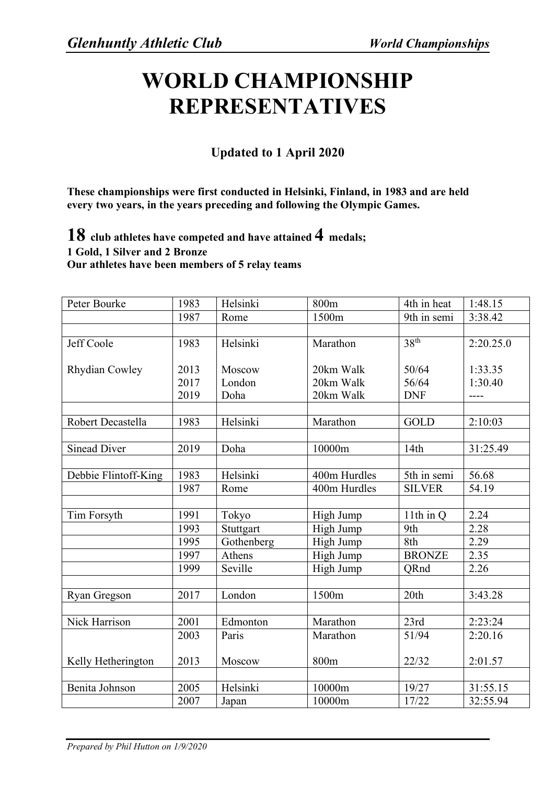## **WORLD CHAMPIONSHIP REPRESENTATIVES**

## **Updated to 1 April 2020**

**These championships were first conducted in Helsinki, Finland, in 1983 and are held every two years, in the years preceding and following the Olympic Games.**

**18 club athletes have competed and have attained 4 medals; 1 Gold, 1 Silver and 2 Bronze Our athletes have been members of 5 relay teams**

| Peter Bourke         | 1983 | Helsinki   | 800m         | 4th in heat               | 1:48.15   |
|----------------------|------|------------|--------------|---------------------------|-----------|
|                      | 1987 | Rome       | 1500m        | $\overline{9}$ th in semi | 3:38.42   |
|                      |      |            |              |                           |           |
| Jeff Coole           | 1983 | Helsinki   | Marathon     | 38 <sup>th</sup>          | 2:20.25.0 |
|                      |      |            |              |                           |           |
| Rhydian Cowley       | 2013 | Moscow     | 20km Walk    | 50/64                     | 1:33.35   |
|                      | 2017 | London     | 20km Walk    | 56/64                     | 1:30.40   |
|                      | 2019 | Doha       | 20km Walk    | <b>DNF</b>                | ----      |
|                      |      |            |              |                           |           |
| Robert Decastella    | 1983 | Helsinki   | Marathon     | <b>GOLD</b>               | 2:10:03   |
|                      |      |            |              |                           |           |
| <b>Sinead Diver</b>  | 2019 | Doha       | 10000m       | 14th                      | 31:25.49  |
|                      |      |            |              |                           |           |
| Debbie Flintoff-King | 1983 | Helsinki   | 400m Hurdles | 5th in semi               | 56.68     |
|                      | 1987 | Rome       | 400m Hurdles | <b>SILVER</b>             | 54.19     |
|                      |      |            |              |                           |           |
| Tim Forsyth          | 1991 | Tokyo      | High Jump    | 11th in $Q$               | 2.24      |
|                      | 1993 | Stuttgart  | High Jump    | 9th                       | 2.28      |
|                      | 1995 | Gothenberg | High Jump    | 8th                       | 2.29      |
|                      | 1997 | Athens     | High Jump    | <b>BRONZE</b>             | 2.35      |
|                      | 1999 | Seville    | High Jump    | ORnd                      | 2.26      |
|                      |      |            |              |                           |           |
| Ryan Gregson         | 2017 | London     | 1500m        | 20th                      | 3:43.28   |
|                      |      |            |              |                           |           |
| <b>Nick Harrison</b> | 2001 | Edmonton   | Marathon     | 23rd                      | 2:23:24   |
|                      | 2003 | Paris      | Marathon     | 51/94                     | 2:20.16   |
|                      |      |            |              |                           |           |
| Kelly Hetherington   | 2013 | Moscow     | 800m         | 22/32                     | 2:01.57   |
|                      |      |            |              |                           |           |
| Benita Johnson       | 2005 | Helsinki   | 10000m       | 19/27                     | 31:55.15  |
|                      | 2007 | Japan      | 10000m       | 17/22                     | 32:55.94  |